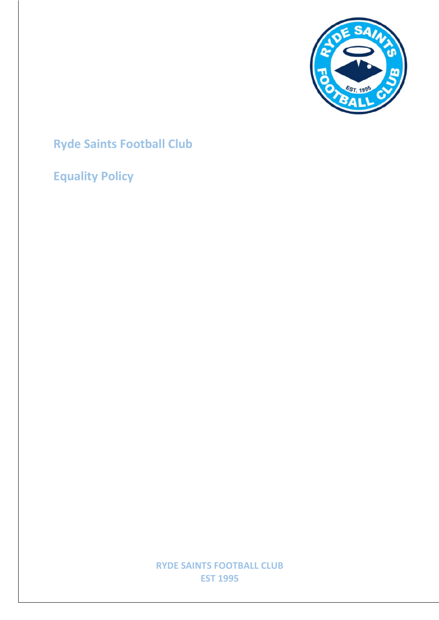

## **Ryde Saints Football Club**

## **Equality Policy**

**RYDE SAINTS FOOTBALL CLUB EST 1995**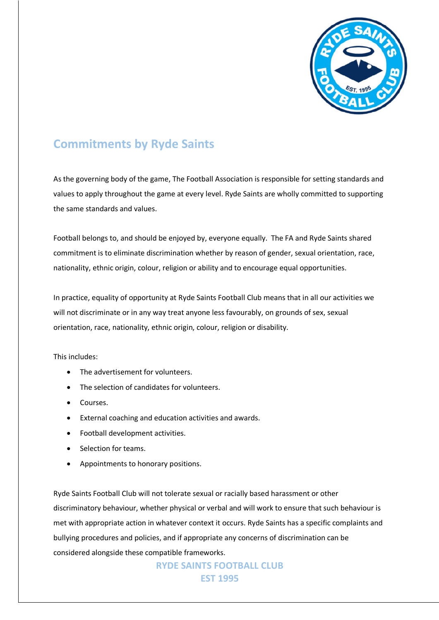

## **Commitments by Ryde Saints**

As the governing body of the game, The Football Association is responsible for setting standards and values to apply throughout the game at every level. Ryde Saints are wholly committed to supporting the same standards and values.

Football belongs to, and should be enjoyed by, everyone equally. The FA and Ryde Saints shared commitment is to eliminate discrimination whether by reason of gender, sexual orientation, race, nationality, ethnic origin, colour, religion or ability and to encourage equal opportunities.

In practice, equality of opportunity at Ryde Saints Football Club means that in all our activities we will not discriminate or in any way treat anyone less favourably, on grounds of sex, sexual orientation, race, nationality, ethnic origin, colour, religion or disability.

This includes:

- The advertisement for volunteers.
- The selection of candidates for volunteers.
- Courses.
- External coaching and education activities and awards.
- Football development activities.
- Selection for teams.
- Appointments to honorary positions.

Ryde Saints Football Club will not tolerate sexual or racially based harassment or other discriminatory behaviour, whether physical or verbal and will work to ensure that such behaviour is met with appropriate action in whatever context it occurs. Ryde Saints has a specific complaints and bullying procedures and policies, and if appropriate any concerns of discrimination can be considered alongside these compatible frameworks.

> **RYDE SAINTS FOOTBALL CLUB EST 1995**